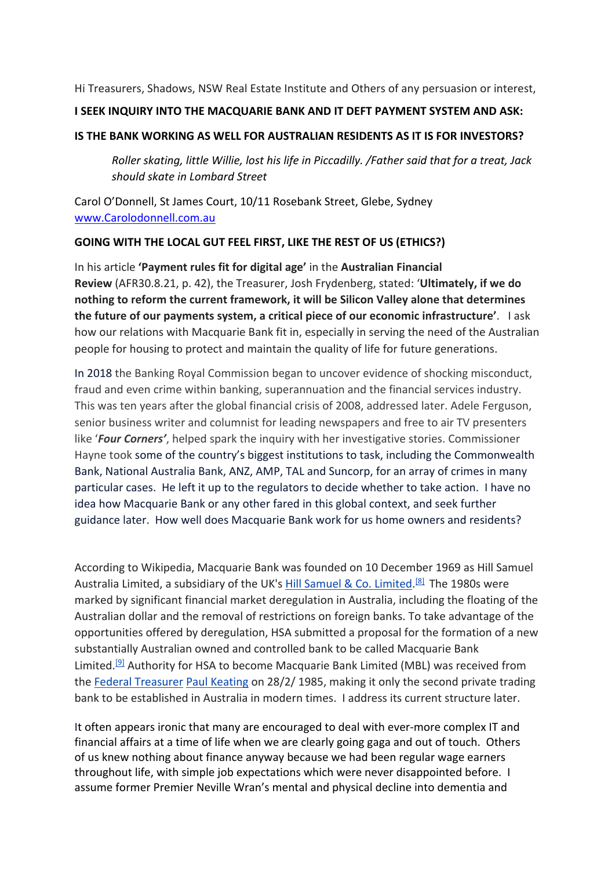Hi Treasurers, Shadows, NSW Real Estate Institute and Others of any persuasion or interest,

### **I SEEK INQUIRY INTO THE MACQUARIE BANK AND IT DEFT PAYMENT SYSTEM AND ASK:**

#### **IS THE BANK WORKING AS WELL FOR AUSTRALIAN RESIDENTS AS IT IS FOR INVESTORS?**

*Roller skating, little Willie, lost his life in Piccadilly. /Father said that for a treat, Jack should skate in Lombard Street*

Carol O'Donnell, St James Court, 10/11 Rosebank Street, Glebe, Sydney www.Carolodonnell.com.au

### **GOING WITH THE LOCAL GUT FEEL FIRST, LIKE THE REST OF US (ETHICS?)**

In his article **'Payment rules fit for digital age'** in the **Australian Financial Review** (AFR30.8.21, p. 42), the Treasurer, Josh Frydenberg, stated: '**Ultimately, if we do nothing to reform the current framework, it will be Silicon Valley alone that determines the future of our payments system, a critical piece of our economic infrastructure'**. I ask how our relations with Macquarie Bank fit in, especially in serving the need of the Australian people for housing to protect and maintain the quality of life for future generations.

In 2018 the Banking Royal Commission began to uncover evidence of shocking misconduct, fraud and even crime within banking, superannuation and the financial services industry. This was ten years after the global financial crisis of 2008, addressed later. Adele Ferguson, senior business writer and columnist for leading newspapers and free to air TV presenters like '*Four Corners'*, helped spark the inquiry with her investigative stories. Commissioner Hayne took some of the country's biggest institutions to task, including the Commonwealth Bank, National Australia Bank, ANZ, AMP, TAL and Suncorp, for an array of crimes in many particular cases. He left it up to the regulators to decide whether to take action. I have no idea how Macquarie Bank or any other fared in this global context, and seek further guidance later. How well does Macquarie Bank work for us home owners and residents?

According to Wikipedia, Macquarie Bank was founded on 10 December 1969 as Hill Samuel Australia Limited, a subsidiary of the UK's Hill Samuel & Co. Limited.<sup>[8]</sup> The 1980s were marked by significant financial market deregulation in Australia, including the floating of the Australian dollar and the removal of restrictions on foreign banks. To take advantage of the opportunities offered by deregulation, HSA submitted a proposal for the formation of a new substantially Australian owned and controlled bank to be called Macquarie Bank Limited.<sup>[9]</sup> Authority for HSA to become Macquarie Bank Limited (MBL) was received from the Federal Treasurer Paul Keating on 28/2/ 1985, making it only the second private trading bank to be established in Australia in modern times. I address its current structure later.

It often appears ironic that many are encouraged to deal with ever-more complex IT and financial affairs at a time of life when we are clearly going gaga and out of touch. Others of us knew nothing about finance anyway because we had been regular wage earners throughout life, with simple job expectations which were never disappointed before. I assume former Premier Neville Wran's mental and physical decline into dementia and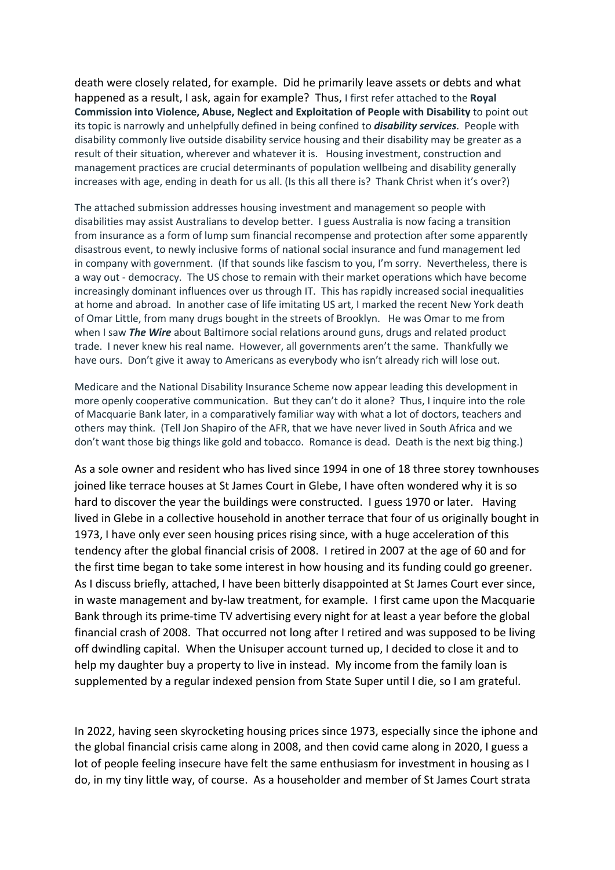death were closely related, for example. Did he primarily leave assets or debts and what happened as a result, I ask, again for example? Thus, I first refer attached to the **Royal Commission into Violence, Abuse, Neglect and Exploitation of People with Disability** to point out its topic is narrowly and unhelpfully defined in being confined to *disability services*. People with disability commonly live outside disability service housing and their disability may be greater as a result of their situation, wherever and whatever it is. Housing investment, construction and management practices are crucial determinants of population wellbeing and disability generally increases with age, ending in death for us all. (Is this all there is? Thank Christ when it's over?)

The attached submission addresses housing investment and management so people with disabilities may assist Australians to develop better. I guess Australia is now facing a transition from insurance as a form of lump sum financial recompense and protection after some apparently disastrous event, to newly inclusive forms of national social insurance and fund management led in company with government. (If that sounds like fascism to you, I'm sorry. Nevertheless, there is a way out - democracy. The US chose to remain with their market operations which have become increasingly dominant influences over us through IT. This has rapidly increased social inequalities at home and abroad. In another case of life imitating US art, I marked the recent New York death of Omar Little, from many drugs bought in the streets of Brooklyn. He was Omar to me from when I saw *The Wire* about Baltimore social relations around guns, drugs and related product trade. I never knew his real name. However, all governments aren't the same. Thankfully we have ours. Don't give it away to Americans as everybody who isn't already rich will lose out.

Medicare and the National Disability Insurance Scheme now appear leading this development in more openly cooperative communication. But they can't do it alone? Thus, I inquire into the role of Macquarie Bank later, in a comparatively familiar way with what a lot of doctors, teachers and others may think. (Tell Jon Shapiro of the AFR, that we have never lived in South Africa and we don't want those big things like gold and tobacco. Romance is dead. Death is the next big thing.)

As a sole owner and resident who has lived since 1994 in one of 18 three storey townhouses joined like terrace houses at St James Court in Glebe, I have often wondered why it is so hard to discover the year the buildings were constructed. I guess 1970 or later. Having lived in Glebe in a collective household in another terrace that four of us originally bought in 1973, I have only ever seen housing prices rising since, with a huge acceleration of this tendency after the global financial crisis of 2008. I retired in 2007 at the age of 60 and for the first time began to take some interest in how housing and its funding could go greener. As I discuss briefly, attached, I have been bitterly disappointed at St James Court ever since, in waste management and by-law treatment, for example. I first came upon the Macquarie Bank through its prime-time TV advertising every night for at least a year before the global financial crash of 2008. That occurred not long after I retired and was supposed to be living off dwindling capital. When the Unisuper account turned up, I decided to close it and to help my daughter buy a property to live in instead. My income from the family loan is supplemented by a regular indexed pension from State Super until I die, so I am grateful.

In 2022, having seen skyrocketing housing prices since 1973, especially since the iphone and the global financial crisis came along in 2008, and then covid came along in 2020, I guess a lot of people feeling insecure have felt the same enthusiasm for investment in housing as I do, in my tiny little way, of course. As a householder and member of St James Court strata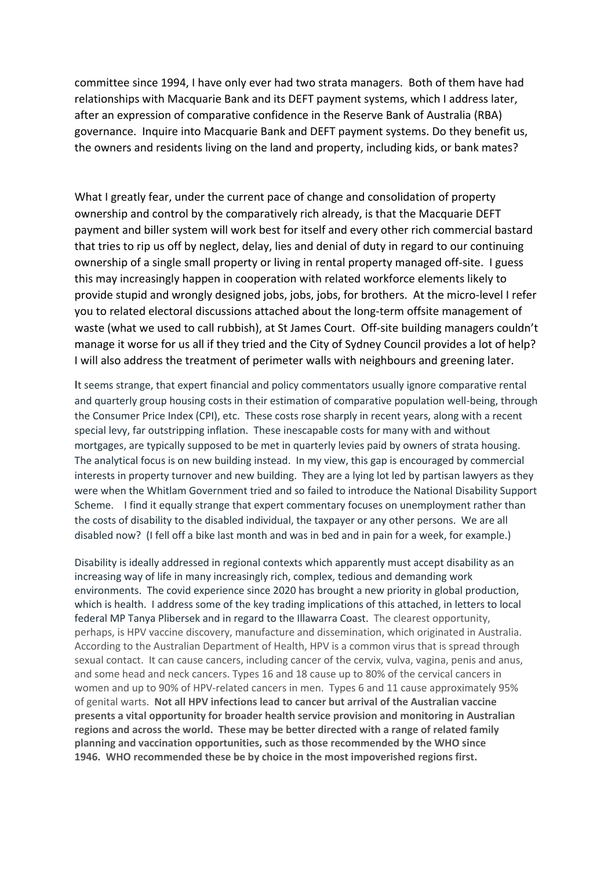committee since 1994, I have only ever had two strata managers. Both of them have had relationships with Macquarie Bank and its DEFT payment systems, which I address later, after an expression of comparative confidence in the Reserve Bank of Australia (RBA) governance. Inquire into Macquarie Bank and DEFT payment systems. Do they benefit us, the owners and residents living on the land and property, including kids, or bank mates?

What I greatly fear, under the current pace of change and consolidation of property ownership and control by the comparatively rich already, is that the Macquarie DEFT payment and biller system will work best for itself and every other rich commercial bastard that tries to rip us off by neglect, delay, lies and denial of duty in regard to our continuing ownership of a single small property or living in rental property managed off-site. I guess this may increasingly happen in cooperation with related workforce elements likely to provide stupid and wrongly designed jobs, jobs, jobs, for brothers. At the micro-level I refer you to related electoral discussions attached about the long-term offsite management of waste (what we used to call rubbish), at St James Court. Off-site building managers couldn't manage it worse for us all if they tried and the City of Sydney Council provides a lot of help? I will also address the treatment of perimeter walls with neighbours and greening later.

It seems strange, that expert financial and policy commentators usually ignore comparative rental and quarterly group housing costs in their estimation of comparative population well-being, through the Consumer Price Index (CPI), etc. These costs rose sharply in recent years, along with a recent special levy, far outstripping inflation. These inescapable costs for many with and without mortgages, are typically supposed to be met in quarterly levies paid by owners of strata housing. The analytical focus is on new building instead. In my view, this gap is encouraged by commercial interests in property turnover and new building. They are a lying lot led by partisan lawyers as they were when the Whitlam Government tried and so failed to introduce the National Disability Support Scheme. I find it equally strange that expert commentary focuses on unemployment rather than the costs of disability to the disabled individual, the taxpayer or any other persons. We are all disabled now? (I fell off a bike last month and was in bed and in pain for a week, for example.)

Disability is ideally addressed in regional contexts which apparently must accept disability as an increasing way of life in many increasingly rich, complex, tedious and demanding work environments. The covid experience since 2020 has brought a new priority in global production, which is health. I address some of the key trading implications of this attached, in letters to local federal MP Tanya Plibersek and in regard to the Illawarra Coast. The clearest opportunity, perhaps, is HPV vaccine discovery, manufacture and dissemination, which originated in Australia. According to the Australian Department of Health, HPV is a common virus that is spread through sexual contact. It can cause cancers, including cancer of the cervix, vulva, vagina, penis and anus, and some head and neck cancers. Types 16 and 18 cause up to 80% of the cervical cancers in women and up to 90% of HPV-related cancers in men. Types 6 and 11 cause approximately 95% of genital warts. **Not all HPV infections lead to cancer but arrival of the Australian vaccine presents a vital opportunity for broader health service provision and monitoring in Australian regions and across the world. These may be better directed with a range of related family planning and vaccination opportunities, such as those recommended by the WHO since 1946. WHO recommended these be by choice in the most impoverished regions first.**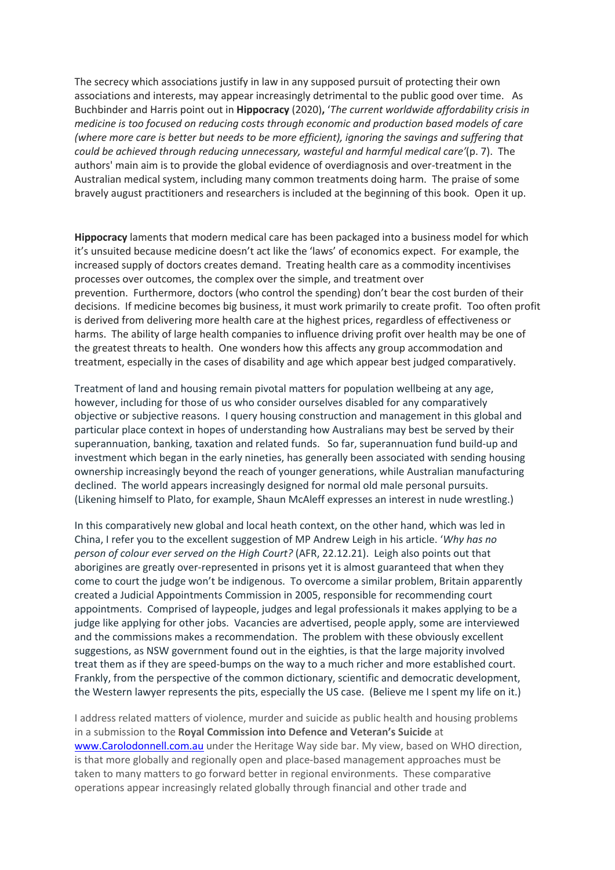The secrecy which associations justify in law in any supposed pursuit of protecting their own associations and interests, may appear increasingly detrimental to the public good over time. As Buchbinder and Harris point out in **Hippocracy** (2020)**,** '*The current worldwide affordability crisis in medicine is too focused on reducing costs through economic and production based models of care (where more care is better but needs to be more efficient), ignoring the savings and suffering that could be achieved through reducing unnecessary, wasteful and harmful medical care'*(p. 7). The authors' main aim is to provide the global evidence of overdiagnosis and over-treatment in the Australian medical system, including many common treatments doing harm. The praise of some bravely august practitioners and researchers is included at the beginning of this book. Open it up.

**Hippocracy** laments that modern medical care has been packaged into a business model for which it's unsuited because medicine doesn't act like the 'laws' of economics expect. For example, the increased supply of doctors creates demand. Treating health care as a commodity incentivises processes over outcomes, the complex over the simple, and treatment over prevention. Furthermore, doctors (who control the spending) don't bear the cost burden of their decisions. If medicine becomes big business, it must work primarily to create profit. Too often profit is derived from delivering more health care at the highest prices, regardless of effectiveness or harms. The ability of large health companies to influence driving profit over health may be one of the greatest threats to health. One wonders how this affects any group accommodation and treatment, especially in the cases of disability and age which appear best judged comparatively.

Treatment of land and housing remain pivotal matters for population wellbeing at any age, however, including for those of us who consider ourselves disabled for any comparatively objective or subjective reasons. I query housing construction and management in this global and particular place context in hopes of understanding how Australians may best be served by their superannuation, banking, taxation and related funds. So far, superannuation fund build-up and investment which began in the early nineties, has generally been associated with sending housing ownership increasingly beyond the reach of younger generations, while Australian manufacturing declined. The world appears increasingly designed for normal old male personal pursuits. (Likening himself to Plato, for example, Shaun McAleff expresses an interest in nude wrestling.)

In this comparatively new global and local heath context, on the other hand, which was led in China, I refer you to the excellent suggestion of MP Andrew Leigh in his article. '*Why has no person of colour ever served on the High Court?* (AFR, 22.12.21). Leigh also points out that aborigines are greatly over-represented in prisons yet it is almost guaranteed that when they come to court the judge won't be indigenous. To overcome a similar problem, Britain apparently created a Judicial Appointments Commission in 2005, responsible for recommending court appointments. Comprised of laypeople, judges and legal professionals it makes applying to be a judge like applying for other jobs. Vacancies are advertised, people apply, some are interviewed and the commissions makes a recommendation. The problem with these obviously excellent suggestions, as NSW government found out in the eighties, is that the large majority involved treat them as if they are speed-bumps on the way to a much richer and more established court. Frankly, from the perspective of the common dictionary, scientific and democratic development, the Western lawyer represents the pits, especially the US case. (Believe me I spent my life on it.)

I address related matters of violence, murder and suicide as public health and housing problems in a submission to the **Royal Commission into Defence and Veteran's Suicide** at www.Carolodonnell.com.au under the Heritage Way side bar. My view, based on WHO direction, is that more globally and regionally open and place-based management approaches must be taken to many matters to go forward better in regional environments. These comparative operations appear increasingly related globally through financial and other trade and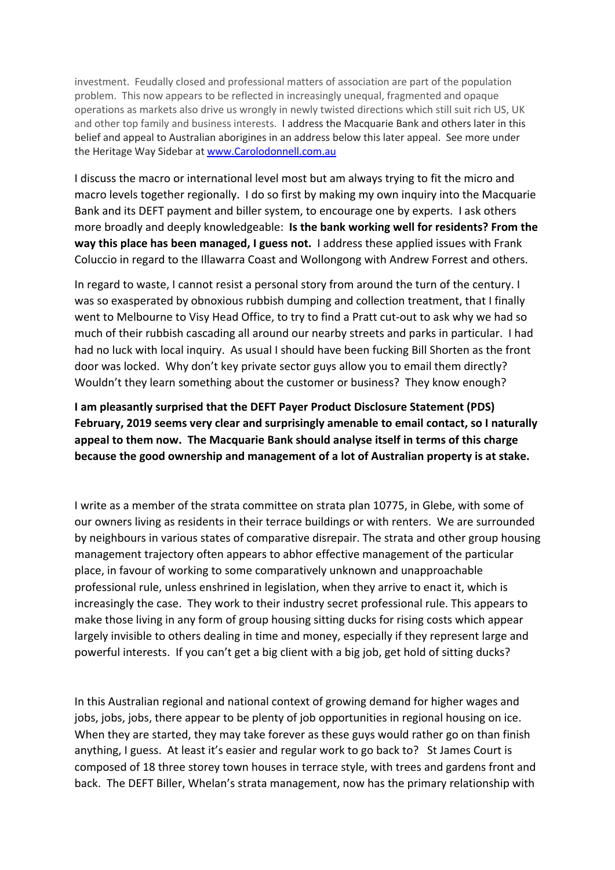investment. Feudally closed and professional matters of association are part of the population problem. This now appears to be reflected in increasingly unequal, fragmented and opaque operations as markets also drive us wrongly in newly twisted directions which still suit rich US, UK and other top family and business interests. I address the Macquarie Bank and others later in this belief and appeal to Australian aborigines in an address below this later appeal. See more under the Heritage Way Sidebar at www.Carolodonnell.com.au

I discuss the macro or international level most but am always trying to fit the micro and macro levels together regionally. I do so first by making my own inquiry into the Macquarie Bank and its DEFT payment and biller system, to encourage one by experts. I ask others more broadly and deeply knowledgeable: **Is the bank working well for residents? From the way this place has been managed, I guess not.** I address these applied issues with Frank Coluccio in regard to the Illawarra Coast and Wollongong with Andrew Forrest and others.

In regard to waste, I cannot resist a personal story from around the turn of the century. I was so exasperated by obnoxious rubbish dumping and collection treatment, that I finally went to Melbourne to Visy Head Office, to try to find a Pratt cut-out to ask why we had so much of their rubbish cascading all around our nearby streets and parks in particular. I had had no luck with local inquiry. As usual I should have been fucking Bill Shorten as the front door was locked. Why don't key private sector guys allow you to email them directly? Wouldn't they learn something about the customer or business? They know enough?

**I am pleasantly surprised that the DEFT Payer Product Disclosure Statement (PDS) February, 2019 seems very clear and surprisingly amenable to email contact, so I naturally appeal to them now. The Macquarie Bank should analyse itself in terms of this charge because the good ownership and management of a lot of Australian property is at stake.**

I write as a member of the strata committee on strata plan 10775, in Glebe, with some of our owners living as residents in their terrace buildings or with renters. We are surrounded by neighbours in various states of comparative disrepair. The strata and other group housing management trajectory often appears to abhor effective management of the particular place, in favour of working to some comparatively unknown and unapproachable professional rule, unless enshrined in legislation, when they arrive to enact it, which is increasingly the case. They work to their industry secret professional rule. This appears to make those living in any form of group housing sitting ducks for rising costs which appear largely invisible to others dealing in time and money, especially if they represent large and powerful interests. If you can't get a big client with a big job, get hold of sitting ducks?

In this Australian regional and national context of growing demand for higher wages and jobs, jobs, jobs, there appear to be plenty of job opportunities in regional housing on ice. When they are started, they may take forever as these guys would rather go on than finish anything, I guess. At least it's easier and regular work to go back to? St James Court is composed of 18 three storey town houses in terrace style, with trees and gardens front and back. The DEFT Biller, Whelan's strata management, now has the primary relationship with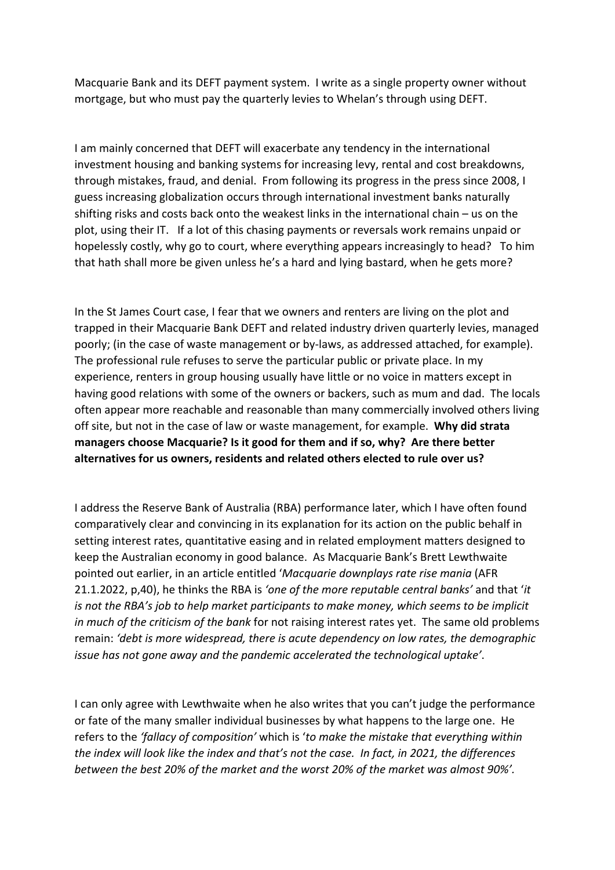Macquarie Bank and its DEFT payment system. I write as a single property owner without mortgage, but who must pay the quarterly levies to Whelan's through using DEFT.

I am mainly concerned that DEFT will exacerbate any tendency in the international investment housing and banking systems for increasing levy, rental and cost breakdowns, through mistakes, fraud, and denial. From following its progress in the press since 2008, I guess increasing globalization occurs through international investment banks naturally shifting risks and costs back onto the weakest links in the international chain – us on the plot, using their IT. If a lot of this chasing payments or reversals work remains unpaid or hopelessly costly, why go to court, where everything appears increasingly to head? To him that hath shall more be given unless he's a hard and lying bastard, when he gets more?

In the St James Court case, I fear that we owners and renters are living on the plot and trapped in their Macquarie Bank DEFT and related industry driven quarterly levies, managed poorly; (in the case of waste management or by-laws, as addressed attached, for example). The professional rule refuses to serve the particular public or private place. In my experience, renters in group housing usually have little or no voice in matters except in having good relations with some of the owners or backers, such as mum and dad. The locals often appear more reachable and reasonable than many commercially involved others living off site, but not in the case of law or waste management, for example. **Why did strata managers choose Macquarie? Is it good for them and if so, why? Are there better alternatives for us owners, residents and related others elected to rule over us?** 

I address the Reserve Bank of Australia (RBA) performance later, which I have often found comparatively clear and convincing in its explanation for its action on the public behalf in setting interest rates, quantitative easing and in related employment matters designed to keep the Australian economy in good balance. As Macquarie Bank's Brett Lewthwaite pointed out earlier, in an article entitled '*Macquarie downplays rate rise mania* (AFR 21.1.2022, p,40), he thinks the RBA is *'one of the more reputable central banks'* and that '*it is not the RBA's job to help market participants to make money, which seems to be implicit in much of the criticism of the bank* for not raising interest rates yet. The same old problems remain: *'debt is more widespread, there is acute dependency on low rates, the demographic issue has not gone away and the pandemic accelerated the technological uptake'*.

I can only agree with Lewthwaite when he also writes that you can't judge the performance or fate of the many smaller individual businesses by what happens to the large one. He refers to the *'fallacy of composition'* which is '*to make the mistake that everything within the index will look like the index and that's not the case. In fact, in 2021, the differences between the best 20% of the market and the worst 20% of the market was almost 90%'.*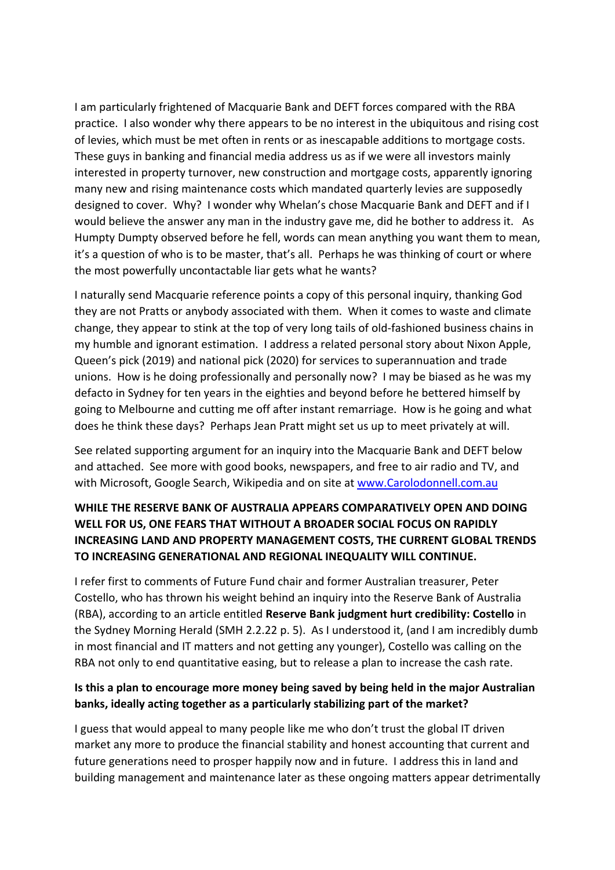I am particularly frightened of Macquarie Bank and DEFT forces compared with the RBA practice. I also wonder why there appears to be no interest in the ubiquitous and rising cost of levies, which must be met often in rents or as inescapable additions to mortgage costs. These guys in banking and financial media address us as if we were all investors mainly interested in property turnover, new construction and mortgage costs, apparently ignoring many new and rising maintenance costs which mandated quarterly levies are supposedly designed to cover. Why? I wonder why Whelan's chose Macquarie Bank and DEFT and if I would believe the answer any man in the industry gave me, did he bother to address it. As Humpty Dumpty observed before he fell, words can mean anything you want them to mean, it's a question of who is to be master, that's all. Perhaps he was thinking of court or where the most powerfully uncontactable liar gets what he wants?

I naturally send Macquarie reference points a copy of this personal inquiry, thanking God they are not Pratts or anybody associated with them. When it comes to waste and climate change, they appear to stink at the top of very long tails of old-fashioned business chains in my humble and ignorant estimation. I address a related personal story about Nixon Apple, Queen's pick (2019) and national pick (2020) for services to superannuation and trade unions. How is he doing professionally and personally now? I may be biased as he was my defacto in Sydney for ten years in the eighties and beyond before he bettered himself by going to Melbourne and cutting me off after instant remarriage. How is he going and what does he think these days? Perhaps Jean Pratt might set us up to meet privately at will.

See related supporting argument for an inquiry into the Macquarie Bank and DEFT below and attached. See more with good books, newspapers, and free to air radio and TV, and with Microsoft, Google Search, Wikipedia and on site at www.Carolodonnell.com.au

## **WHILE THE RESERVE BANK OF AUSTRALIA APPEARS COMPARATIVELY OPEN AND DOING WELL FOR US, ONE FEARS THAT WITHOUT A BROADER SOCIAL FOCUS ON RAPIDLY INCREASING LAND AND PROPERTY MANAGEMENT COSTS, THE CURRENT GLOBAL TRENDS TO INCREASING GENERATIONAL AND REGIONAL INEQUALITY WILL CONTINUE.**

I refer first to comments of Future Fund chair and former Australian treasurer, Peter Costello, who has thrown his weight behind an inquiry into the Reserve Bank of Australia (RBA), according to an article entitled **Reserve Bank judgment hurt credibility: Costello** in the Sydney Morning Herald (SMH 2.2.22 p. 5). As I understood it, (and I am incredibly dumb in most financial and IT matters and not getting any younger), Costello was calling on the RBA not only to end quantitative easing, but to release a plan to increase the cash rate.

## **Is this a plan to encourage more money being saved by being held in the major Australian banks, ideally acting together as a particularly stabilizing part of the market?**

I guess that would appeal to many people like me who don't trust the global IT driven market any more to produce the financial stability and honest accounting that current and future generations need to prosper happily now and in future. I address this in land and building management and maintenance later as these ongoing matters appear detrimentally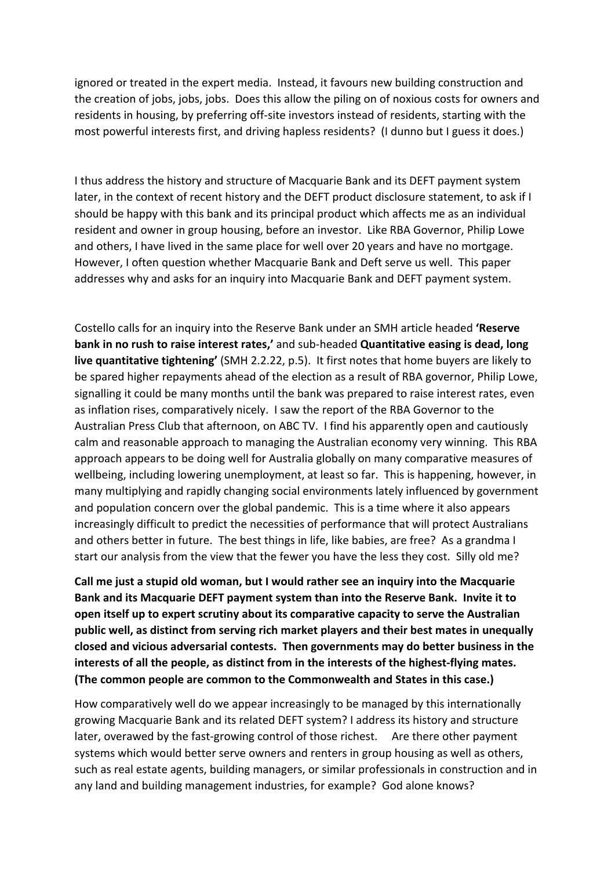ignored or treated in the expert media. Instead, it favours new building construction and the creation of jobs, jobs, jobs. Does this allow the piling on of noxious costs for owners and residents in housing, by preferring off-site investors instead of residents, starting with the most powerful interests first, and driving hapless residents? (I dunno but I guess it does.)

I thus address the history and structure of Macquarie Bank and its DEFT payment system later, in the context of recent history and the DEFT product disclosure statement, to ask if I should be happy with this bank and its principal product which affects me as an individual resident and owner in group housing, before an investor. Like RBA Governor, Philip Lowe and others, I have lived in the same place for well over 20 years and have no mortgage. However, I often question whether Macquarie Bank and Deft serve us well. This paper addresses why and asks for an inquiry into Macquarie Bank and DEFT payment system.

Costello calls for an inquiry into the Reserve Bank under an SMH article headed **'Reserve bank in no rush to raise interest rates,'** and sub-headed **Quantitative easing is dead, long live quantitative tightening'** (SMH 2.2.22, p.5). It first notes that home buyers are likely to be spared higher repayments ahead of the election as a result of RBA governor, Philip Lowe, signalling it could be many months until the bank was prepared to raise interest rates, even as inflation rises, comparatively nicely. I saw the report of the RBA Governor to the Australian Press Club that afternoon, on ABC TV. I find his apparently open and cautiously calm and reasonable approach to managing the Australian economy very winning. This RBA approach appears to be doing well for Australia globally on many comparative measures of wellbeing, including lowering unemployment, at least so far. This is happening, however, in many multiplying and rapidly changing social environments lately influenced by government and population concern over the global pandemic. This is a time where it also appears increasingly difficult to predict the necessities of performance that will protect Australians and others better in future. The best things in life, like babies, are free? As a grandma I start our analysis from the view that the fewer you have the less they cost. Silly old me?

**Call me just a stupid old woman, but I would rather see an inquiry into the Macquarie Bank and its Macquarie DEFT payment system than into the Reserve Bank. Invite it to open itself up to expert scrutiny about its comparative capacity to serve the Australian public well, as distinct from serving rich market players and their best mates in unequally closed and vicious adversarial contests. Then governments may do better business in the interests of all the people, as distinct from in the interests of the highest-flying mates. (The common people are common to the Commonwealth and States in this case.)**

How comparatively well do we appear increasingly to be managed by this internationally growing Macquarie Bank and its related DEFT system? I address its history and structure later, overawed by the fast-growing control of those richest. Are there other payment systems which would better serve owners and renters in group housing as well as others, such as real estate agents, building managers, or similar professionals in construction and in any land and building management industries, for example? God alone knows?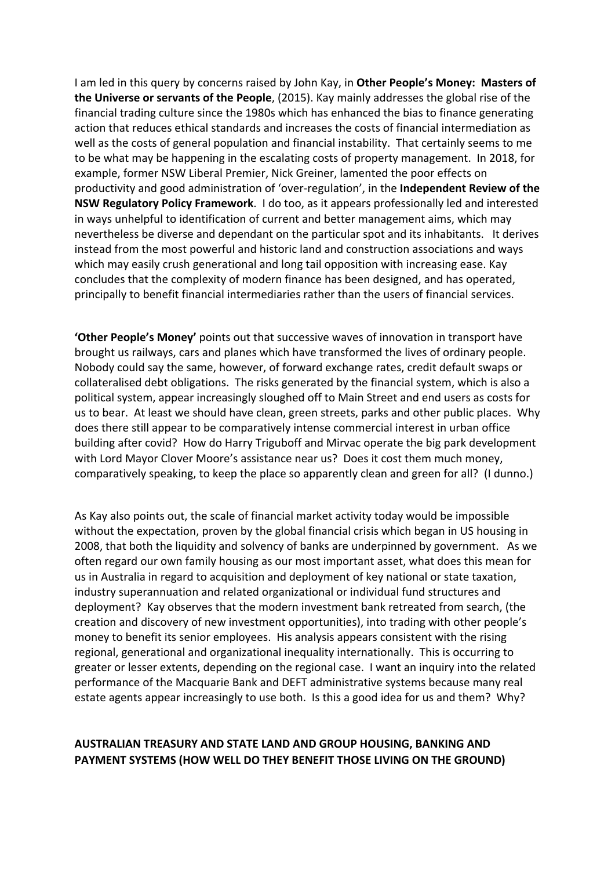I am led in this query by concerns raised by John Kay, in **Other People's Money: Masters of the Universe or servants of the People**, (2015). Kay mainly addresses the global rise of the financial trading culture since the 1980s which has enhanced the bias to finance generating action that reduces ethical standards and increases the costs of financial intermediation as well as the costs of general population and financial instability. That certainly seems to me to be what may be happening in the escalating costs of property management. In 2018, for example, former NSW Liberal Premier, Nick Greiner, lamented the poor effects on productivity and good administration of 'over-regulation', in the **Independent Review of the NSW Regulatory Policy Framework**. I do too, as it appears professionally led and interested in ways unhelpful to identification of current and better management aims, which may nevertheless be diverse and dependant on the particular spot and its inhabitants. It derives instead from the most powerful and historic land and construction associations and ways which may easily crush generational and long tail opposition with increasing ease. Kay concludes that the complexity of modern finance has been designed, and has operated, principally to benefit financial intermediaries rather than the users of financial services.

**'Other People's Money'** points out that successive waves of innovation in transport have brought us railways, cars and planes which have transformed the lives of ordinary people. Nobody could say the same, however, of forward exchange rates, credit default swaps or collateralised debt obligations. The risks generated by the financial system, which is also a political system, appear increasingly sloughed off to Main Street and end users as costs for us to bear. At least we should have clean, green streets, parks and other public places. Why does there still appear to be comparatively intense commercial interest in urban office building after covid? How do Harry Triguboff and Mirvac operate the big park development with Lord Mayor Clover Moore's assistance near us? Does it cost them much money, comparatively speaking, to keep the place so apparently clean and green for all? (I dunno.)

As Kay also points out, the scale of financial market activity today would be impossible without the expectation, proven by the global financial crisis which began in US housing in 2008, that both the liquidity and solvency of banks are underpinned by government. As we often regard our own family housing as our most important asset, what does this mean for us in Australia in regard to acquisition and deployment of key national or state taxation, industry superannuation and related organizational or individual fund structures and deployment? Kay observes that the modern investment bank retreated from search, (the creation and discovery of new investment opportunities), into trading with other people's money to benefit its senior employees. His analysis appears consistent with the rising regional, generational and organizational inequality internationally. This is occurring to greater or lesser extents, depending on the regional case. I want an inquiry into the related performance of the Macquarie Bank and DEFT administrative systems because many real estate agents appear increasingly to use both. Is this a good idea for us and them? Why?

## **AUSTRALIAN TREASURY AND STATE LAND AND GROUP HOUSING, BANKING AND PAYMENT SYSTEMS (HOW WELL DO THEY BENEFIT THOSE LIVING ON THE GROUND)**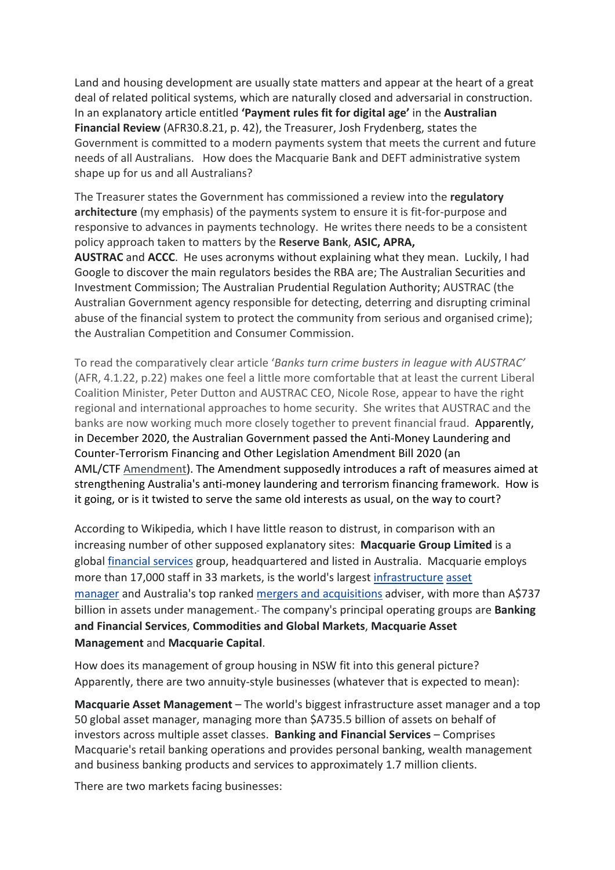Land and housing development are usually state matters and appear at the heart of a great deal of related political systems, which are naturally closed and adversarial in construction. In an explanatory article entitled **'Payment rules fit for digital age'** in the **Australian Financial Review** (AFR30.8.21, p. 42), the Treasurer, Josh Frydenberg, states the Government is committed to a modern payments system that meets the current and future needs of all Australians. How does the Macquarie Bank and DEFT administrative system shape up for us and all Australians?

The Treasurer states the Government has commissioned a review into the **regulatory architecture** (my emphasis) of the payments system to ensure it is fit-for-purpose and responsive to advances in payments technology. He writes there needs to be a consistent policy approach taken to matters by the **Reserve Bank**, **ASIC, APRA, AUSTRAC** and **ACCC**. He uses acronyms without explaining what they mean. Luckily, I had Google to discover the main regulators besides the RBA are; The Australian Securities and Investment Commission; The Australian Prudential Regulation Authority; AUSTRAC (the Australian Government agency responsible for detecting, deterring and disrupting criminal abuse of the financial system to protect the community from serious and organised crime); the Australian Competition and Consumer Commission.

To read the comparatively clear article '*Banks turn crime busters in league with AUSTRAC'* (AFR, 4.1.22, p.22) makes one feel a little more comfortable that at least the current Liberal Coalition Minister, Peter Dutton and AUSTRAC CEO, Nicole Rose, appear to have the right regional and international approaches to home security. She writes that AUSTRAC and the banks are now working much more closely together to prevent financial fraud. Apparently, in December 2020, the Australian Government passed the Anti-Money Laundering and Counter-Terrorism Financing and Other Legislation Amendment Bill 2020 (an AML/CTF Amendment). The Amendment supposedly introduces a raft of measures aimed at strengthening Australia's anti-money laundering and terrorism financing framework. How is it going, or is it twisted to serve the same old interests as usual, on the way to court?

According to Wikipedia, which I have little reason to distrust, in comparison with an increasing number of other supposed explanatory sites: **Macquarie Group Limited** is a global financial services group, headquartered and listed in Australia. Macquarie employs more than 17,000 staff in 33 markets, is the world's largest infrastructure asset manager and Australia's top ranked mergers and acquisitions adviser, with more than A\$737 billion in assets under management. The company's principal operating groups are **Banking and Financial Services**, **Commodities and Global Markets**, **Macquarie Asset Management** and **Macquarie Capital**.

How does its management of group housing in NSW fit into this general picture? Apparently, there are two annuity-style businesses (whatever that is expected to mean):

**Macquarie Asset Management** – The world's biggest infrastructure asset manager and a top 50 global asset manager, managing more than \$A735.5 billion of assets on behalf of investors across multiple asset classes. **Banking and Financial Services** – Comprises Macquarie's retail banking operations and provides personal banking, wealth management and business banking products and services to approximately 1.7 million clients.

There are two markets facing businesses: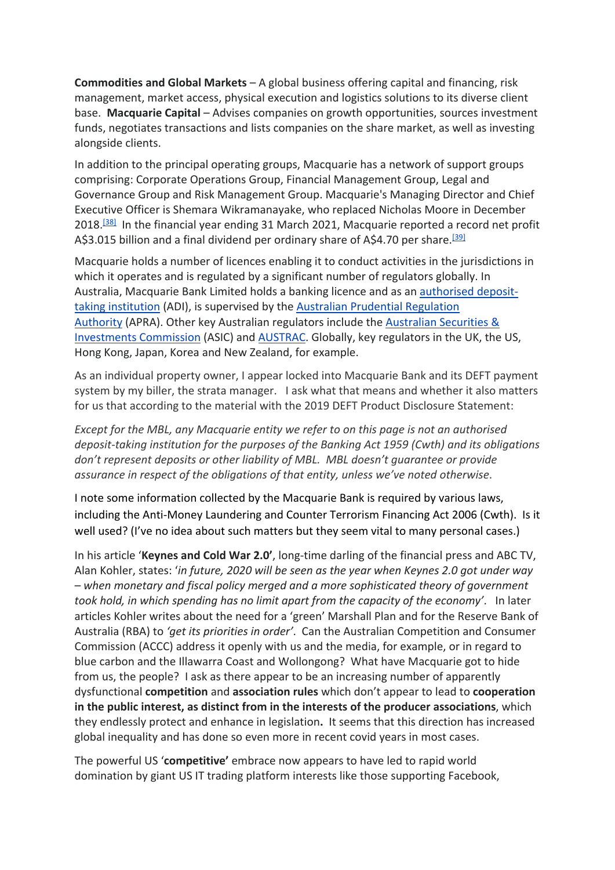**Commodities and Global Markets** – A global business offering capital and financing, risk management, market access, physical execution and logistics solutions to its diverse client base. **Macquarie Capital** – Advises companies on growth opportunities, sources investment funds, negotiates transactions and lists companies on the share market, as well as investing alongside clients.

In addition to the principal operating groups, Macquarie has a network of support groups comprising: Corporate Operations Group, Financial Management Group, Legal and Governance Group and Risk Management Group. Macquarie's Managing Director and Chief Executive Officer is Shemara Wikramanayake, who replaced Nicholas Moore in December 2018.<sup>[38]</sup> In the financial year ending 31 March 2021, Macquarie reported a record net profit A\$3.015 billion and a final dividend per ordinary share of A\$4.70 per share.<sup>[39]</sup>

Macquarie holds a number of licences enabling it to conduct activities in the jurisdictions in which it operates and is regulated by a significant number of regulators globally. In Australia, Macquarie Bank Limited holds a banking licence and as an authorised deposittaking institution (ADI), is supervised by the Australian Prudential Regulation Authority (APRA). Other key Australian regulators include the Australian Securities & Investments Commission (ASIC) and AUSTRAC. Globally, key regulators in the UK, the US, Hong Kong, Japan, Korea and New Zealand, for example.

As an individual property owner, I appear locked into Macquarie Bank and its DEFT payment system by my biller, the strata manager. I ask what that means and whether it also matters for us that according to the material with the 2019 DEFT Product Disclosure Statement:

*Except for the MBL, any Macquarie entity we refer to on this page is not an authorised deposit-taking institution for the purposes of the Banking Act 1959 (Cwth) and its obligations don't represent deposits or other liability of MBL. MBL doesn't guarantee or provide assurance in respect of the obligations of that entity, unless we've noted otherwise*.

I note some information collected by the Macquarie Bank is required by various laws, including the Anti-Money Laundering and Counter Terrorism Financing Act 2006 (Cwth). Is it well used? (I've no idea about such matters but they seem vital to many personal cases.)

In his article '**Keynes and Cold War 2.0'**, long-time darling of the financial press and ABC TV, Alan Kohler, states: '*in future, 2020 will be seen as the year when Keynes 2.0 got under way – when monetary and fiscal policy merged and a more sophisticated theory of government took hold, in which spending has no limit apart from the capacity of the economy'*. In later articles Kohler writes about the need for a 'green' Marshall Plan and for the Reserve Bank of Australia (RBA) to *'get its priorities in order'*. Can the Australian Competition and Consumer Commission (ACCC) address it openly with us and the media, for example, or in regard to blue carbon and the Illawarra Coast and Wollongong? What have Macquarie got to hide from us, the people? I ask as there appear to be an increasing number of apparently dysfunctional **competition** and **association rules** which don't appear to lead to **cooperation in the public interest, as distinct from in the interests of the producer associations**, which they endlessly protect and enhance in legislation**.** It seems that this direction has increased global inequality and has done so even more in recent covid years in most cases.

The powerful US '**competitive'** embrace now appears to have led to rapid world domination by giant US IT trading platform interests like those supporting Facebook,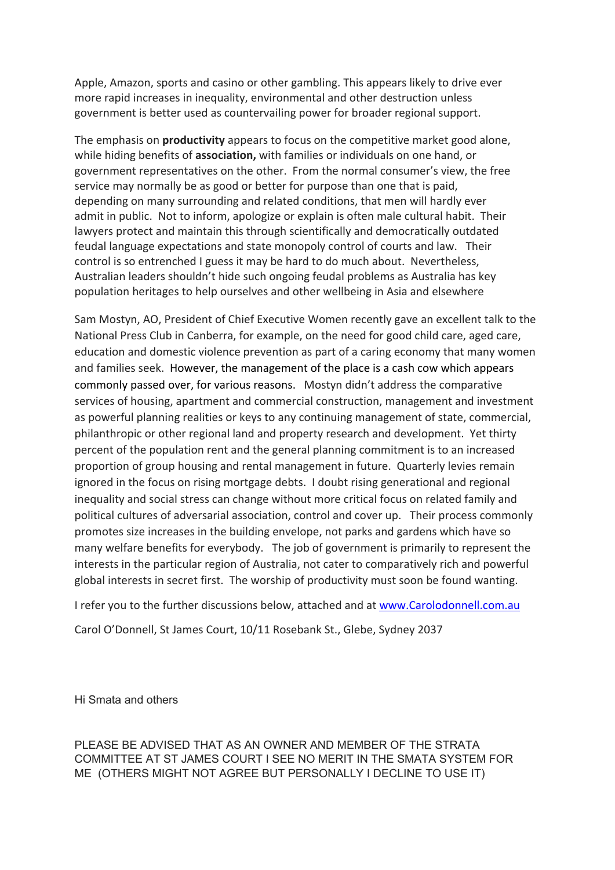Apple, Amazon, sports and casino or other gambling. This appears likely to drive ever more rapid increases in inequality, environmental and other destruction unless government is better used as countervailing power for broader regional support.

The emphasis on **productivity** appears to focus on the competitive market good alone, while hiding benefits of **association,** with families or individuals on one hand, or government representatives on the other. From the normal consumer's view, the free service may normally be as good or better for purpose than one that is paid, depending on many surrounding and related conditions, that men will hardly ever admit in public. Not to inform, apologize or explain is often male cultural habit. Their lawyers protect and maintain this through scientifically and democratically outdated feudal language expectations and state monopoly control of courts and law. Their control is so entrenched I guess it may be hard to do much about. Nevertheless, Australian leaders shouldn't hide such ongoing feudal problems as Australia has key population heritages to help ourselves and other wellbeing in Asia and elsewhere

Sam Mostyn, AO, President of Chief Executive Women recently gave an excellent talk to the National Press Club in Canberra, for example, on the need for good child care, aged care, education and domestic violence prevention as part of a caring economy that many women and families seek. However, the management of the place is a cash cow which appears commonly passed over, for various reasons. Mostyn didn't address the comparative services of housing, apartment and commercial construction, management and investment as powerful planning realities or keys to any continuing management of state, commercial, philanthropic or other regional land and property research and development. Yet thirty percent of the population rent and the general planning commitment is to an increased proportion of group housing and rental management in future. Quarterly levies remain ignored in the focus on rising mortgage debts. I doubt rising generational and regional inequality and social stress can change without more critical focus on related family and political cultures of adversarial association, control and cover up. Their process commonly promotes size increases in the building envelope, not parks and gardens which have so many welfare benefits for everybody. The job of government is primarily to represent the interests in the particular region of Australia, not cater to comparatively rich and powerful global interests in secret first. The worship of productivity must soon be found wanting.

I refer you to the further discussions below, attached and at www.Carolodonnell.com.au Carol O'Donnell, St James Court, 10/11 Rosebank St., Glebe, Sydney 2037

Hi Smata and others

PLEASE BE ADVISED THAT AS AN OWNER AND MEMBER OF THE STRATA COMMITTEE AT ST JAMES COURT I SEE NO MERIT IN THE SMATA SYSTEM FOR ME (OTHERS MIGHT NOT AGREE BUT PERSONALLY I DECLINE TO USE IT)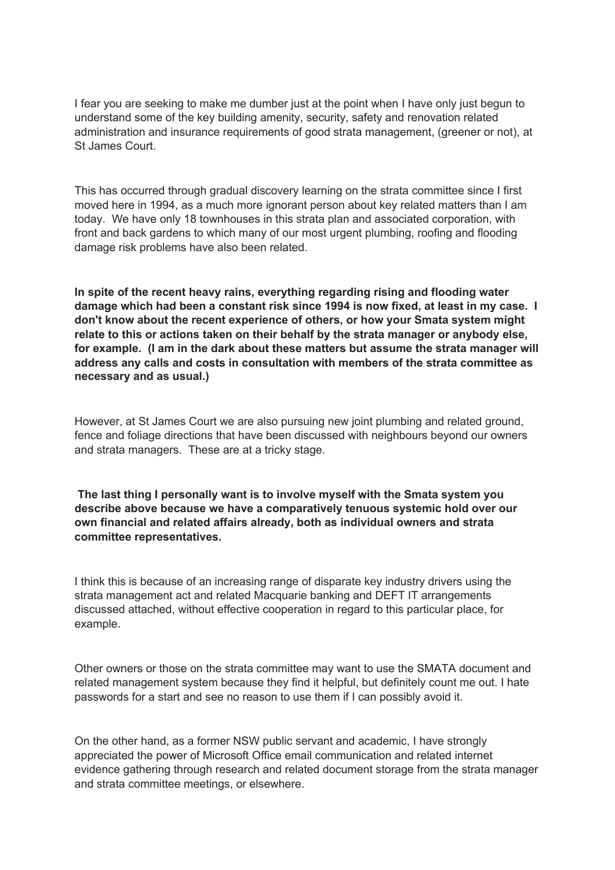I fear you are seeking to make me dumber just at the point when I have only just begun to understand some of the key building amenity, security, safety and renovation related administration and insurance requirements of good strata management, (greener or not), at St James Court.

This has occurred through gradual discovery learning on the strata committee since I first moved here in 1994, as a much more ignorant person about key related matters than I am today. We have only 18 townhouses in this strata plan and associated corporation, with front and back gardens to which many of our most urgent plumbing, roofing and flooding damage risk problems have also been related.

**In spite of the recent heavy rains, everything regarding rising and flooding water damage which had been a constant risk since 1994 is now fixed, at least in my case. I don't know about the recent experience of others, or how your Smata system might relate to this or actions taken on their behalf by the strata manager or anybody else, for example. (I am in the dark about these matters but assume the strata manager will address any calls and costs in consultation with members of the strata committee as necessary and as usual.)**

However, at St James Court we are also pursuing new joint plumbing and related ground, fence and foliage directions that have been discussed with neighbours beyond our owners and strata managers. These are at a tricky stage.

**The last thing I personally want is to involve myself with the Smata system you describe above because we have a comparatively tenuous systemic hold over our own financial and related affairs already, both as individual owners and strata committee representatives.**

I think this is because of an increasing range of disparate key industry drivers using the strata management act and related Macquarie banking and DEFT IT arrangements discussed attached, without effective cooperation in regard to this particular place, for example.

Other owners or those on the strata committee may want to use the SMATA document and related management system because they find it helpful, but definitely count me out. I hate passwords for a start and see no reason to use them if I can possibly avoid it.

On the other hand, as a former NSW public servant and academic, I have strongly appreciated the power of Microsoft Office email communication and related internet evidence gathering through research and related document storage from the strata manager and strata committee meetings, or elsewhere.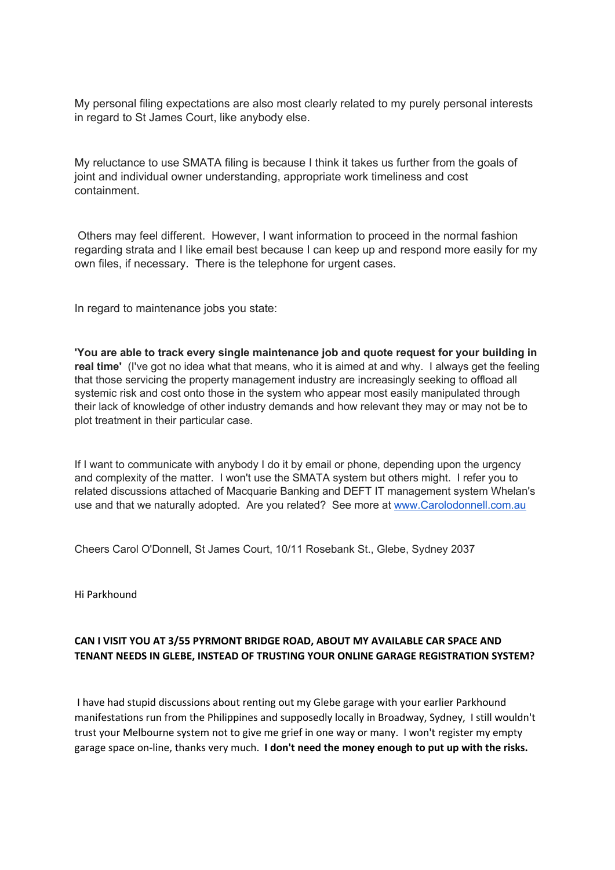My personal filing expectations are also most clearly related to my purely personal interests in regard to St James Court, like anybody else.

My reluctance to use SMATA filing is because I think it takes us further from the goals of joint and individual owner understanding, appropriate work timeliness and cost containment.

Others may feel different. However, I want information to proceed in the normal fashion regarding strata and I like email best because I can keep up and respond more easily for my own files, if necessary. There is the telephone for urgent cases.

In regard to maintenance jobs you state:

**'You are able to track every single maintenance job and quote request for your building in real time'** (I've got no idea what that means, who it is aimed at and why. I always get the feeling that those servicing the property management industry are increasingly seeking to offload all systemic risk and cost onto those in the system who appear most easily manipulated through their lack of knowledge of other industry demands and how relevant they may or may not be to plot treatment in their particular case.

If I want to communicate with anybody I do it by email or phone, depending upon the urgency and complexity of the matter. I won't use the SMATA system but others might. I refer you to related discussions attached of Macquarie Banking and DEFT IT management system Whelan's use and that we naturally adopted. Are you related? See more at www.Carolodonnell.com.au

Cheers Carol O'Donnell, St James Court, 10/11 Rosebank St., Glebe, Sydney 2037

Hi Parkhound

## **CAN I VISIT YOU AT 3/55 PYRMONT BRIDGE ROAD, ABOUT MY AVAILABLE CAR SPACE AND TENANT NEEDS IN GLEBE, INSTEAD OF TRUSTING YOUR ONLINE GARAGE REGISTRATION SYSTEM?**

I have had stupid discussions about renting out my Glebe garage with your earlier Parkhound manifestations run from the Philippines and supposedly locally in Broadway, Sydney, I still wouldn't trust your Melbourne system not to give me grief in one way or many. I won't register my empty garage space on-line, thanks very much. **I don't need the money enough to put up with the risks.**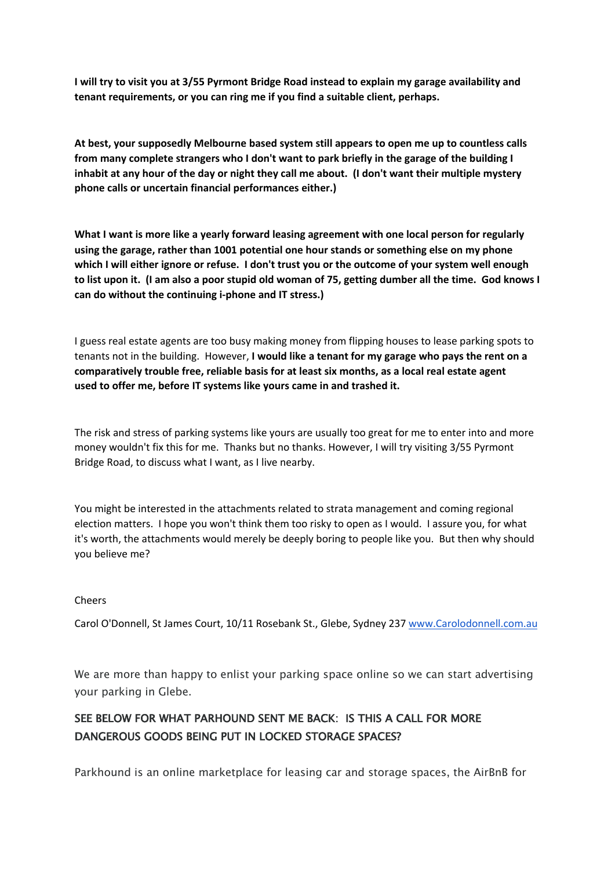**I will try to visit you at 3/55 Pyrmont Bridge Road instead to explain my garage availability and tenant requirements, or you can ring me if you find a suitable client, perhaps.**

**At best, your supposedly Melbourne based system still appears to open me up to countless calls from many complete strangers who I don't want to park briefly in the garage of the building I inhabit at any hour of the day or night they call me about. (I don't want their multiple mystery phone calls or uncertain financial performances either.)**

**What I want is more like a yearly forward leasing agreement with one local person for regularly using the garage, rather than 1001 potential one hour stands or something else on my phone which I will either ignore or refuse. I don't trust you or the outcome of your system well enough to list upon it. (I am also a poor stupid old woman of 75, getting dumber all the time. God knows I can do without the continuing i-phone and IT stress.)**

I guess real estate agents are too busy making money from flipping houses to lease parking spots to tenants not in the building. However, **I would like a tenant for my garage who pays the rent on a comparatively trouble free, reliable basis for at least six months, as a local real estate agent used to offer me, before IT systems like yours came in and trashed it.**

The risk and stress of parking systems like yours are usually too great for me to enter into and more money wouldn't fix this for me. Thanks but no thanks. However, I will try visiting 3/55 Pyrmont Bridge Road, to discuss what I want, as I live nearby.

You might be interested in the attachments related to strata management and coming regional election matters. I hope you won't think them too risky to open as I would. I assure you, for what it's worth, the attachments would merely be deeply boring to people like you. But then why should you believe me?

### Cheers

Carol O'Donnell, St James Court, 10/11 Rosebank St., Glebe, Sydney 237 www.Carolodonnell.com.au

We are more than happy to enlist your parking space online so we can start advertising your parking in Glebe.

# SEE BELOW FOR WHAT PARHOUND SENT ME BACK: IS THIS A CALL FOR MORE DANGEROUS GOODS BEING PUT IN LOCKED STORAGE SPACES?

Parkhound is an online marketplace for leasing car and storage spaces, the AirBnB for